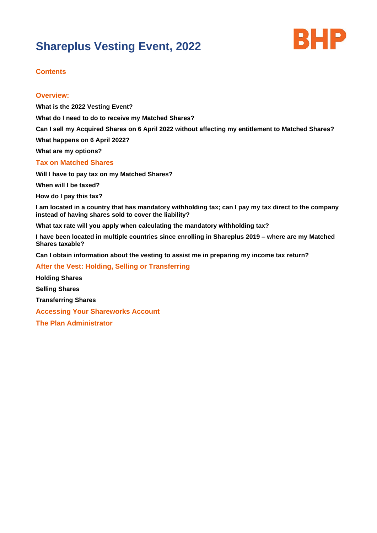# **Shareplus Vesting Event, 2022**



# **Contents**

## **Overview:**

**What is the 2022 Vesting Event? What do I need to do to receive my Matched Shares? Can I sell my Acquired Shares on 6 April 2022 without affecting my entitlement to Matched Shares? What happens on 6 April 2022? What are my options? Tax on Matched Shares Will I have to pay tax on my Matched Shares? When will I be taxed? How do I pay this tax? I am located in a country that has mandatory withholding tax; can I pay my tax direct to the company instead of having shares sold to cover the liability? What tax rate will you apply when calculating the mandatory withholding tax? I have been located in multiple countries since enrolling in Shareplus 2019 – where are my Matched Shares taxable? Can I obtain information about the vesting to assist me in preparing my income tax return? After the Vest: Holding, Selling or Transferring Holding Shares**

**Selling Shares Transferring Shares Accessing Your Shareworks Account The Plan Administrator**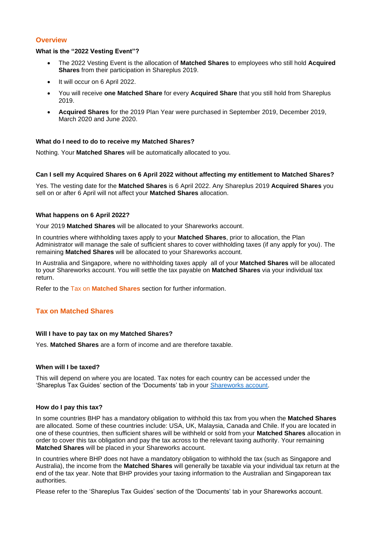# **Overview**

#### **What is the "2022 Vesting Event"?**

- The 2022 Vesting Event is the allocation of **Matched Shares** to employees who still hold **Acquired Shares** from their participation in Shareplus 2019.
- It will occur on 6 April 2022.
- You will receive **one Matched Share** for every **Acquired Share** that you still hold from Shareplus 2019.
- **Acquired Shares** for the 2019 Plan Year were purchased in September 2019, December 2019, March 2020 and June 2020.

## **What do I need to do to receive my Matched Shares?**

Nothing. Your **Matched Shares** will be automatically allocated to you.

#### **Can I sell my Acquired Shares on 6 April 2022 without affecting my entitlement to Matched Shares?**

Yes. The vesting date for the **Matched Shares** is 6 April 2022. Any Shareplus 2019 **Acquired Shares** you sell on or after 6 April will not affect your **Matched Shares** allocation.

#### **What happens on 6 April 2022?**

Your 2019 **Matched Shares** will be allocated to your Shareworks account.

In countries where withholding taxes apply to your **Matched Shares**, prior to allocation, the Plan Administrator will manage the sale of sufficient shares to cover withholding taxes (if any apply for you). The remaining **Matched Shares** will be allocated to your Shareworks account.

In Australia and Singapore, where no withholding taxes apply all of your **Matched Shares** will be allocated to your Shareworks account. You will settle the tax payable on **Matched Shares** via your individual tax return.

Refer to the Tax on **Matched Shares** section for further information.

## **Tax on Matched Shares**

#### **Will I have to pay tax on my Matched Shares?**

Yes. **Matched Shares** are a form of income and are therefore taxable.

## **When will I be taxed?**

This will depend on where you are located. Tax notes for each country can be accessed under the 'Shareplus Tax Guides' section of the 'Documents' tab in your [Shareworks account.](file:///C:/Users/milbb/AppData/Local/Microsoft/Windows/INetCache/Content.Outlook/GDFK7RW2/Hyperlink%20to%20Shareworks%20account%20section)

#### **How do I pay this tax?**

In some countries BHP has a mandatory obligation to withhold this tax from you when the **Matched Shares** are allocated. Some of these countries include: USA, UK, Malaysia, Canada and Chile. If you are located in one of these countries, then sufficient shares will be withheld or sold from your **Matched Shares** allocation in order to cover this tax obligation and pay the tax across to the relevant taxing authority. Your remaining **Matched Shares** will be placed in your Shareworks account.

In countries where BHP does not have a mandatory obligation to withhold the tax (such as Singapore and Australia), the income from the **Matched Shares** will generally be taxable via your individual tax return at the end of the tax year. Note that BHP provides your taxing information to the Australian and Singaporean tax authorities.

Please refer to the 'Shareplus Tax Guides' section of the 'Documents' tab in your Shareworks account.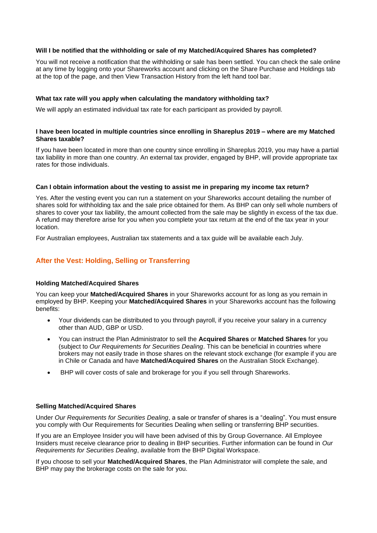## **Will I be notified that the withholding or sale of my Matched/Acquired Shares has completed?**

You will not receive a notification that the withholding or sale has been settled. You can check the sale online at any time by logging onto your Shareworks account and clicking on the Share Purchase and Holdings tab at the top of the page, and then View Transaction History from the left hand tool bar.

## **What tax rate will you apply when calculating the mandatory withholding tax?**

We will apply an estimated individual tax rate for each participant as provided by payroll.

## **I have been located in multiple countries since enrolling in Shareplus 2019 – where are my Matched Shares taxable?**

If you have been located in more than one country since enrolling in Shareplus 2019, you may have a partial tax liability in more than one country. An external tax provider, engaged by BHP, will provide appropriate tax rates for those individuals.

## **Can I obtain information about the vesting to assist me in preparing my income tax return?**

Yes. After the vesting event you can run a statement on your Shareworks account detailing the number of shares sold for withholding tax and the sale price obtained for them. As BHP can only sell whole numbers of shares to cover your tax liability, the amount collected from the sale may be slightly in excess of the tax due. A refund may therefore arise for you when you complete your tax return at the end of the tax year in your location.

For Australian employees, Australian tax statements and a tax guide will be available each July.

# **After the Vest: Holding, Selling or Transferring**

#### **Holding Matched/Acquired Shares**

You can keep your **Matched/Acquired Shares** in your Shareworks account for as long as you remain in employed by BHP. Keeping your **Matched/Acquired Shares** in your Shareworks account has the following benefits:

- Your dividends can be distributed to you through payroll, if you receive your salary in a currency other than AUD, GBP or USD.
- You can instruct the Plan Administrator to sell the **Acquired Shares** or **Matched Shares** for you (subject to *Our Requirements for Securities Dealing*. This can be beneficial in countries where brokers may not easily trade in those shares on the relevant stock exchange (for example if you are in Chile or Canada and have **Matched/Acquired Shares** on the Australian Stock Exchange).
- BHP will cover costs of sale and brokerage for you if you sell through Shareworks.

#### **Selling Matched/Acquired Shares**

Under *Our Requirements for Securities Dealing*, a sale or transfer of shares is a "dealing". You must ensure you comply with Our Requirements for Securities Dealing when selling or transferring BHP securities.

If you are an Employee Insider you will have been advised of this by Group Governance. All Employee Insiders must receive clearance prior to dealing in BHP securities. Further information can be found in *Our Requirements for Securities Dealing*, available from the BHP Digital Workspace.

If you choose to sell your **Matched/Acquired Shares**, the Plan Administrator will complete the sale, and BHP may pay the brokerage costs on the sale for you.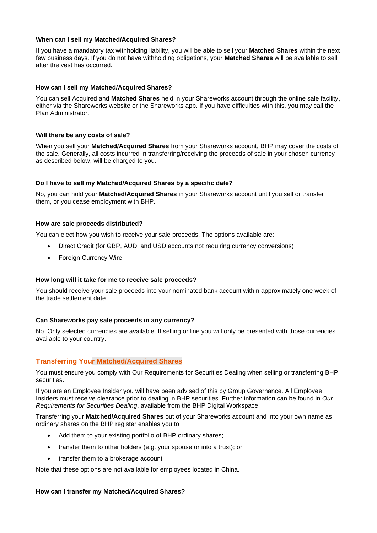## **When can I sell my Matched/Acquired Shares?**

If you have a mandatory tax withholding liability, you will be able to sell your **Matched Shares** within the next few business days. If you do not have withholding obligations, your **Matched Shares** will be available to sell after the vest has occurred.

## **How can I sell my Matched/Acquired Shares?**

You can sell Acquired and **Matched Shares** held in your Shareworks account through the online sale facility, either via the Shareworks website or the Shareworks app. If you have difficulties with this, you may call the Plan Administrator.

### **Will there be any costs of sale?**

When you sell your **Matched/Acquired Shares** from your Shareworks account, BHP may cover the costs of the sale. Generally, all costs incurred in transferring/receiving the proceeds of sale in your chosen currency as described below, will be charged to you.

## **Do I have to sell my Matched/Acquired Shares by a specific date?**

No, you can hold your **Matched/Acquired Shares** in your Shareworks account until you sell or transfer them, or you cease employment with BHP.

#### **How are sale proceeds distributed?**

You can elect how you wish to receive your sale proceeds. The options available are:

- Direct Credit (for GBP, AUD, and USD accounts not requiring currency conversions)
- Foreign Currency Wire

#### **How long will it take for me to receive sale proceeds?**

You should receive your sale proceeds into your nominated bank account within approximately one week of the trade settlement date.

#### **Can Shareworks pay sale proceeds in any currency?**

No. Only selected currencies are available. If selling online you will only be presented with those currencies available to your country.

## **Transferring Your Matched/Acquired Shares**

You must ensure you comply with Our Requirements for Securities Dealing when selling or transferring BHP securities.

If you are an Employee Insider you will have been advised of this by Group Governance. All Employee Insiders must receive clearance prior to dealing in BHP securities. Further information can be found in *Our Requirements for Securities Dealing*, available from the BHP Digital Workspace.

Transferring your **Matched/Acquired Shares** out of your Shareworks account and into your own name as ordinary shares on the BHP register enables you to

- Add them to your existing portfolio of BHP ordinary shares;
- transfer them to other holders (e.g. your spouse or into a trust); or
- transfer them to a brokerage account

Note that these options are not available for employees located in China.

#### **How can I transfer my Matched/Acquired Shares?**